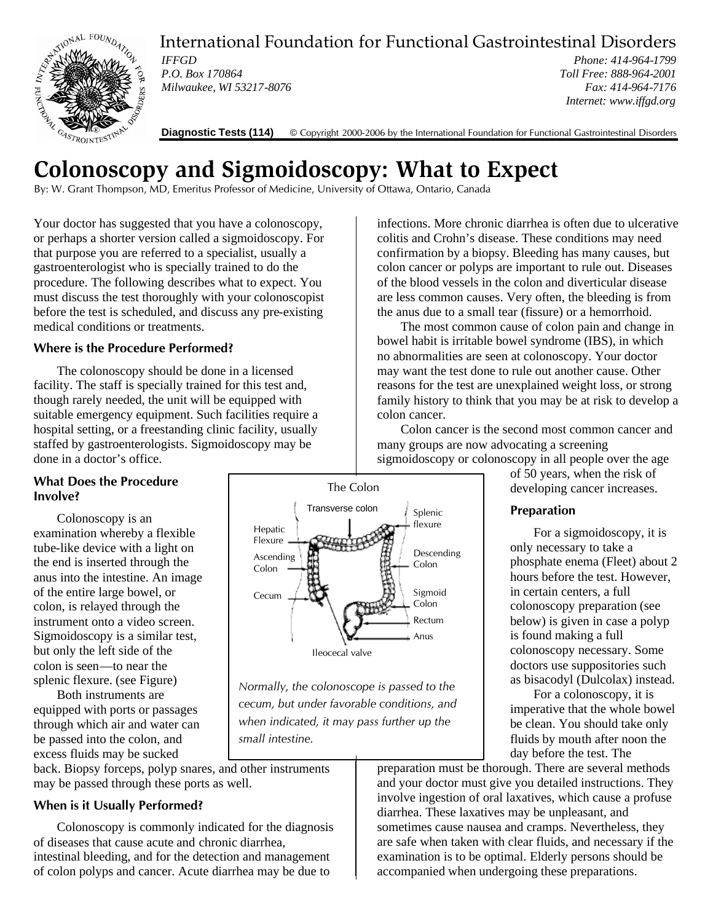

International Foundation for Functional Gastrointestinal Disorders

*IFFGD P.O. Box 170864 Milwaukee, WI 53217-8076*

*Phone: 414-964-1799 Toll Free: 888-964-2001 Fax: 414-964-7176 Internet: www.iffgd.org*

**Diagnostic Tests (114)** © Copyright 2000-2006 by the International Foundation for Functional Gastrointestinal Disorders

# **Colonoscopy and Sigmoidoscopy: What to Expect**

By: W. Grant Thompson, MD, Emeritus Professor of Medicine, University of Ottawa, Ontario, Canada

Your doctor has suggested that you have a colonoscopy, or perhaps a shorter version called a sigmoidoscopy. For that purpose you are referred to a specialist, usually a gastroenterologist who is specially trained to do the procedure. The following describes what to expect. You must discuss the test thoroughly with your colonoscopist before the test is scheduled, and discuss any pre-existing medical conditions or treatments.

## **Where is the Procedure Performed?**

The colonoscopy should be done in a licensed facility. The staff is specially trained for this test and, though rarely needed, the unit will be equipped with suitable emergency equipment. Such facilities require a hospital setting, or a freestanding clinic facility, usually staffed by gastroenterologists. Sigmoidoscopy may be done in a doctor's office.

## **What Does the Procedure Involve?**

Colonoscopy is an examination whereby a flexible tube-like device with a light on the end is inserted through the anus into the intestine. An image of the entire large bowel, or colon, is relayed through the instrument onto a video screen. Sigmoidoscopy is a similar test, but only the left side of the colon is seen—to near the splenic flexure. (see Figure)

Both instruments are equipped with ports or passages through which air and water can be passed into the colon, and excess fluids may be sucked

back. Biopsy forceps, polyp snares, and other instruments may be passed through these ports as well.

# **When is it Usually Performed?**

Colonoscopy is commonly indicated for the diagnosis of diseases that cause acute and chronic diarrhea, intestinal bleeding, and for the detection and management of colon polyps and cancer. Acute diarrhea may be due to

The Colon **Hepatic** Flexure Ascending Colon Cecum Splenic flexure Descending Colon Sigmoid Colon Rectum Anus Ileocecal valve Transverse colon

*Normally, the colonoscope is passed to the cecum, but under favorable conditions, and when indicated, it may pass further up the small intestine.*

infections. More chronic diarrhea is often due to ulcerative colitis and Crohn's disease. These conditions may need confirmation by a biopsy. Bleeding has many causes, but colon cancer or polyps are important to rule out. Diseases of the blood vessels in the colon and diverticular disease are less common causes. Very often, the bleeding is from the anus due to a small tear (fissure) or a hemorrhoid.

The most common cause of colon pain and change in bowel habit is irritable bowel syndrome (IBS), in which no abnormalities are seen at colonoscopy. Your doctor may want the test done to rule out another cause. Other reasons for the test are unexplained weight loss, or strong family history to think that you may be at risk to develop a colon cancer.

Colon cancer is the second most common cancer and many groups are now advocating a screening sigmoidoscopy or colonoscopy in all people over the age

of 50 years, when the risk of developing cancer increases.

# **Preparation**

For a sigmoidoscopy, it is only necessary to take a phosphate enema (Fleet) about 2 hours before the test. However, in certain centers, a full colonoscopy preparation (see below) is given in case a polyp is found making a full colonoscopy necessary. Some doctors use suppositories such as bisacodyl (Dulcolax) instead.

For a colonoscopy, it is imperative that the whole bowel be clean. You should take only fluids by mouth after noon the day before the test. The

preparation must be thorough. There are several methods and your doctor must give you detailed instructions. They involve ingestion of oral laxatives, which cause a profuse diarrhea. These laxatives may be unpleasant, and sometimes cause nausea and cramps. Nevertheless, they are safe when taken with clear fluids, and necessary if the examination is to be optimal. Elderly persons should be accompanied when undergoing these preparations.